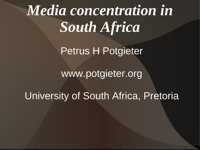# *Media concentration in South Africa*

Petrus H Potgieter

[www.potgieter.org](http://www.potgieter.org/)

University of South Africa, Pretoria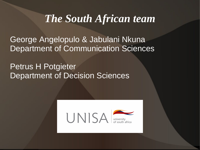## *The South African team*

George Angelopulo & Jabulani Nkuna Department of Communication Sciences

Petrus H Potgieter Department of Decision Sciences

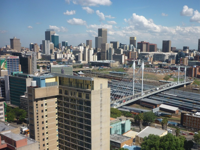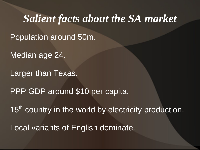#### *Salient facts about the SA market*

Population around 50m.

Median age 24.

Larger than Texas.

PPP GDP around \$10 per capita.

 $15<sup>th</sup>$  country in the world by electricity production.

Local variants of English dominate.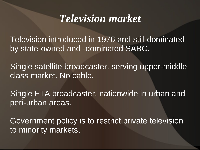#### *Television market*

Television introduced in 1976 and still dominated by state-owned and -dominated SABC.

Single satellite broadcaster, serving upper-middle class market. No cable.

Single FTA broadcaster, nationwide in urban and peri-urban areas.

Government policy is to restrict private television to minority markets.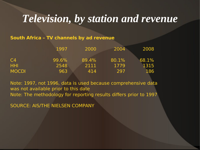### *Television, by station and revenue*

#### **South Africa – TV channels by ad revenue**

|                | 1997  | 2000  | 2004  | 2008  |
|----------------|-------|-------|-------|-------|
| C <sub>4</sub> | 99.6% | 89.4% | 80.1% | 68.1% |
| <b>HHI</b>     | 2548  | 2111  | 1779  | 1315  |
| <b>MOCDI</b>   | 963   | 414   | 297   | 186   |

Note: 1997, not 1996, data is used because comprehensive data was not available prior to this date Note: The methodology for reporting results differs prior to 1997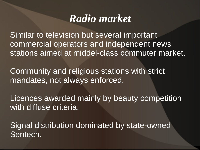### *Radio market*

Similar to television but several important commercial operators and independent news stations aimed at middel-class commuter market.

Community and religious stations with strict mandates, not always enforced.

Licences awarded mainly by beauty competition with diffuse criteria.

Signal distribution dominated by state-owned Sentech.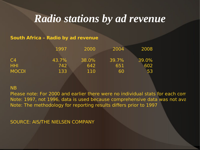### *Radio stations by ad revenue*

#### **South Africa – Radio by ad revenue**

|                | 1997  | 2000  | 2004  | 2008  |
|----------------|-------|-------|-------|-------|
| C <sub>4</sub> | 43.7% | 38.0% | 39.7% | 39.0% |
| <b>HHI</b>     | 742   | 642   | 651   | 602   |
| <b>MOCDI</b>   | 133   | 110   | 60    | 53    |

#### NB

Note: 1997, not 1996, data is used because comprehensive data was not avail Please note: For 2000 and earlier there were no individual stats for each com-Note: The methodology for reporting results differs prior to 1997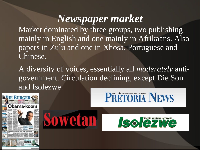## *Newspaper market*

Market dominated by three groups, two publishing mainly in English and one mainly in Afrikaans. Also papers in Zulu and one in Xhosa, Portuguese and Chinese.

A diversity of voices, essentially all *moderately* antigovernment. Circulation declining, except Die Son and Isolezwe.**PRETORIA NEWS** 

**COL** diwela umfula ugcwele

Sowetan

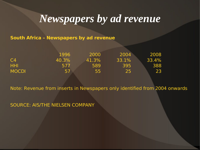## *Newspapers by ad revenue*

#### **South Africa – Newspapers by ad revenue**

|                | 1996  | 2000  | 2004  | 2008  |
|----------------|-------|-------|-------|-------|
| C <sub>4</sub> | 40.3% | 41.3% | 33.1% | 33.4% |
| <b>HHI</b>     | 577   | 589   | 395   | 388   |
| <b>MOCDI</b>   | 57    | 55    | 25    | 23    |

Note: Revenue from inserts in Newspapers only identified from 2004 onwards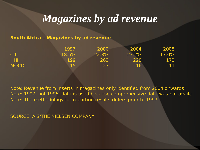## *Magazines by ad revenue*

#### **South Africa – Magazines by ad revenue**

|                | 1997  | 2000  | 2004      | 2008  |
|----------------|-------|-------|-----------|-------|
| C <sub>4</sub> | 18.5% | 22.8% | 23.2%     | 17.0% |
| <b>HHI</b>     | 199   | 263   | 228       | 173   |
| <b>MOCDI</b>   | -15   | 23    | <b>16</b> | 11    |

Note: 1997, not 1996, data is used because comprehensive data was not availa Note: Revenue from inserts in magazines only identified from 2004 onwards Note: The methodology for reporting results differs prior to 1997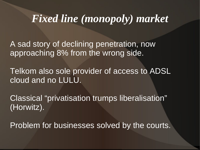## *Fixed line (monopoly) market*

A sad story of declining penetration, now approaching 8% from the wrong side.

Telkom also sole provider of access to ADSL cloud and no LULU.

Classical "privatisation trumps liberalisation" (Horwitz).

Problem for businesses solved by the courts.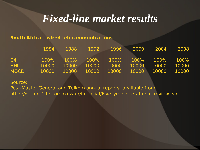#### *Fixed-line market results*

#### **South Africa – wired telecommunications**

|              | 1984                                                            |  | 1988 1992 1996                                                  | 2000 2004 2008 |  |
|--------------|-----------------------------------------------------------------|--|-----------------------------------------------------------------|----------------|--|
| C4           |                                                                 |  | $100\%$ $100\%$ $100\%$ $100\%$ $100\%$ $100\%$ $100\%$ $100\%$ |                |  |
| HHI I        |                                                                 |  | $10000$ $10000$ $10000$ $10000$ $10000$ $10000$ $10000$ $10000$ |                |  |
| <b>MOCDI</b> | $10000$ $10000$ $10000$ $10000$ $10000$ $10000$ $10000$ $10000$ |  |                                                                 |                |  |

#### Source:

Post-Master General and Telkom annual reports, available from https://secure1.telkom.co.za/ir/financial/Five year operational review.jsp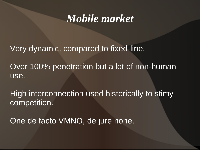### *Mobile market*

Very dynamic, compared to fixed-line.

Over 100% penetration but a lot of non-human use.

High interconnection used historically to stimy competition.

One de facto VMNO, de jure none.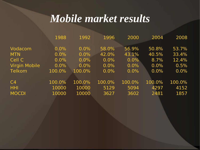## *Mobile market results*

|                      | 1988    | 1992    | 1996    | 2000    | 2004    | 2008   |
|----------------------|---------|---------|---------|---------|---------|--------|
| Vodacom              | $0.0\%$ | $0.0\%$ | 58.0%   | 56.9%   | 50.8%   | 53.7%  |
| <b>MTN</b>           | $0.0\%$ | $0.0\%$ | 42.0%   | 43.1%   | 40.5%   | 33.4%  |
| Cell C               | $0.0\%$ | $0.0\%$ | $0.0\%$ | $0.0\%$ | 8.7%    | 12.4%  |
| <b>Virgin Mobile</b> | $0.0\%$ | $0.0\%$ | $0.0\%$ | $0.0\%$ | $0.0\%$ | 0.5%   |
| <b>Telkom</b>        | 100.0%  | 100.0%  | 0.0%    | $0.0\%$ | $0.0\%$ | 0.0%   |
| C <sub>4</sub>       | 100.0%  | 100.0%  | 100.0%  | 100.0%  | 100.0%  | 100.0% |
| <b>HHI</b>           | 10000   | 10000   | 5129    | 5094    | 4297    | 4152   |
| <b>MOCDI</b>         | 10000   | 10000   | 3627    | 3602    | 2481    | 1857   |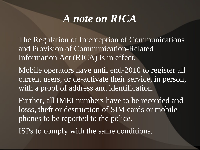#### *A note on RICA*

The Regulation of Interception of Communications and Provision of Communication-Related Information Act (RICA) is in effect.

Mobile operators have until end-2010 to register all current users, or de-activate their service, in person, with a proof of address and identification.

Further, all IMEI numbers have to be recorded and losss, theft or destruction of SIM cards or mobile phones to be reported to the police.

ISPs to comply with the same conditions.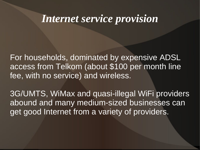#### *Internet service provision*

For households, dominated by expensive ADSL access from Telkom (about \$100 per month line fee, with no service) and wireless.

3G/UMTS, WiMax and quasi-illegal WiFi providers abound and many medium-sized businesses can get good Internet from a variety of providers.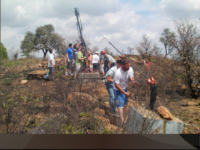